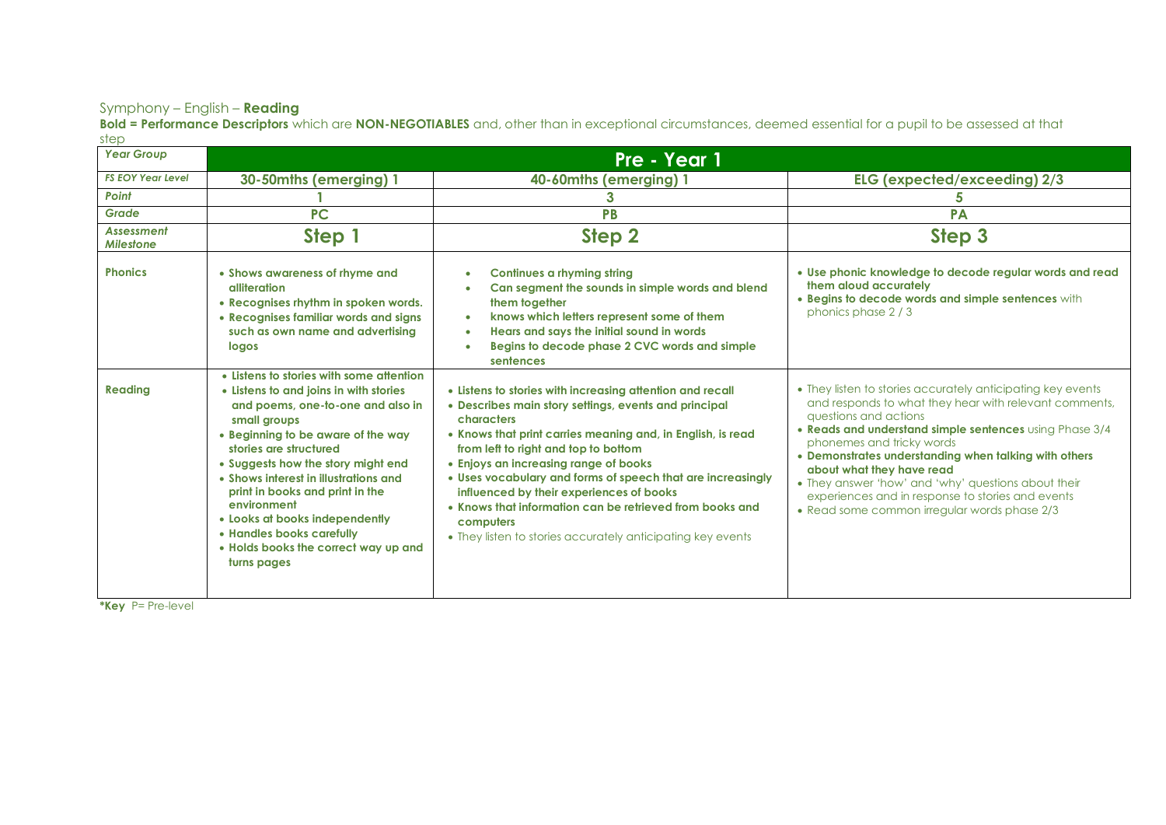## Symphony – English – **Reading**

**Bold = Performance Descriptors** which are **NON-NEGOTIABLES** and, other than in exceptional circumstances, deemed essential for a pupil to be assessed at that step

| <b>Year Group</b>                     | Pre - Year 1                                                                                                                                                                                                                                                                                                                                                                                                                                                   |                                                                                                                                                                                                                                                                                                                                                                                                                                                                                                                                     |                                                                                                                                                                                                                                                                                                                                                                                                                                                                                          |  |  |
|---------------------------------------|----------------------------------------------------------------------------------------------------------------------------------------------------------------------------------------------------------------------------------------------------------------------------------------------------------------------------------------------------------------------------------------------------------------------------------------------------------------|-------------------------------------------------------------------------------------------------------------------------------------------------------------------------------------------------------------------------------------------------------------------------------------------------------------------------------------------------------------------------------------------------------------------------------------------------------------------------------------------------------------------------------------|------------------------------------------------------------------------------------------------------------------------------------------------------------------------------------------------------------------------------------------------------------------------------------------------------------------------------------------------------------------------------------------------------------------------------------------------------------------------------------------|--|--|
| <b>FS EOY Year Level</b>              | 30-50mths (emerging) 1                                                                                                                                                                                                                                                                                                                                                                                                                                         | 40-60mths (emerging) 1                                                                                                                                                                                                                                                                                                                                                                                                                                                                                                              | ELG (expected/exceeding) 2/3                                                                                                                                                                                                                                                                                                                                                                                                                                                             |  |  |
| Point                                 |                                                                                                                                                                                                                                                                                                                                                                                                                                                                | 3                                                                                                                                                                                                                                                                                                                                                                                                                                                                                                                                   | 5                                                                                                                                                                                                                                                                                                                                                                                                                                                                                        |  |  |
| Grade                                 | <b>PC</b>                                                                                                                                                                                                                                                                                                                                                                                                                                                      | PB                                                                                                                                                                                                                                                                                                                                                                                                                                                                                                                                  | <b>PA</b>                                                                                                                                                                                                                                                                                                                                                                                                                                                                                |  |  |
| <b>Assessment</b><br><b>Milestone</b> | Step 1                                                                                                                                                                                                                                                                                                                                                                                                                                                         | Step <sub>2</sub>                                                                                                                                                                                                                                                                                                                                                                                                                                                                                                                   | Step 3                                                                                                                                                                                                                                                                                                                                                                                                                                                                                   |  |  |
| <b>Phonics</b>                        | • Shows awareness of rhyme and<br>alliteration<br>• Recognises rhythm in spoken words.<br>• Recognises familiar words and signs<br>such as own name and advertising<br>logos                                                                                                                                                                                                                                                                                   | <b>Continues a rhyming string</b><br>$\bullet$<br>Can segment the sounds in simple words and blend<br>them together<br>knows which letters represent some of them<br>$\bullet$<br>Hears and says the initial sound in words<br>٠<br>Begins to decode phase 2 CVC words and simple<br>sentences                                                                                                                                                                                                                                      | . Use phonic knowledge to decode regular words and read<br>them aloud accurately<br>. Begins to decode words and simple sentences with<br>phonics phase 2/3                                                                                                                                                                                                                                                                                                                              |  |  |
| <b>Reading</b>                        | • Listens to stories with some attention<br>• Listens to and joins in with stories<br>and poems, one-to-one and also in<br>small groups<br>• Beginning to be aware of the way<br>stories are structured<br>• Suggests how the story might end<br>• Shows interest in illustrations and<br>print in books and print in the<br>environment<br>• Looks at books independently<br>• Handles books carefully<br>• Holds books the correct way up and<br>turns pages | • Listens to stories with increasing attention and recall<br>• Describes main story settings, events and principal<br>characters<br>• Knows that print carries meaning and, in English, is read<br>from left to right and top to bottom<br>• Enjoys an increasing range of books<br>• Uses vocabulary and forms of speech that are increasingly<br>influenced by their experiences of books<br>• Knows that information can be retrieved from books and<br>computers<br>• They listen to stories accurately anticipating key events | • They listen to stories accurately anticipating key events<br>and responds to what they hear with relevant comments,<br>questions and actions<br>. Reads and understand simple sentences using Phase 3/4<br>phonemes and tricky words<br>• Demonstrates understanding when talking with others<br>about what they have read<br>• They answer 'how' and 'why' questions about their<br>experiences and in response to stories and events<br>• Read some common irregular words phase 2/3 |  |  |

**\*Key** P= Pre-level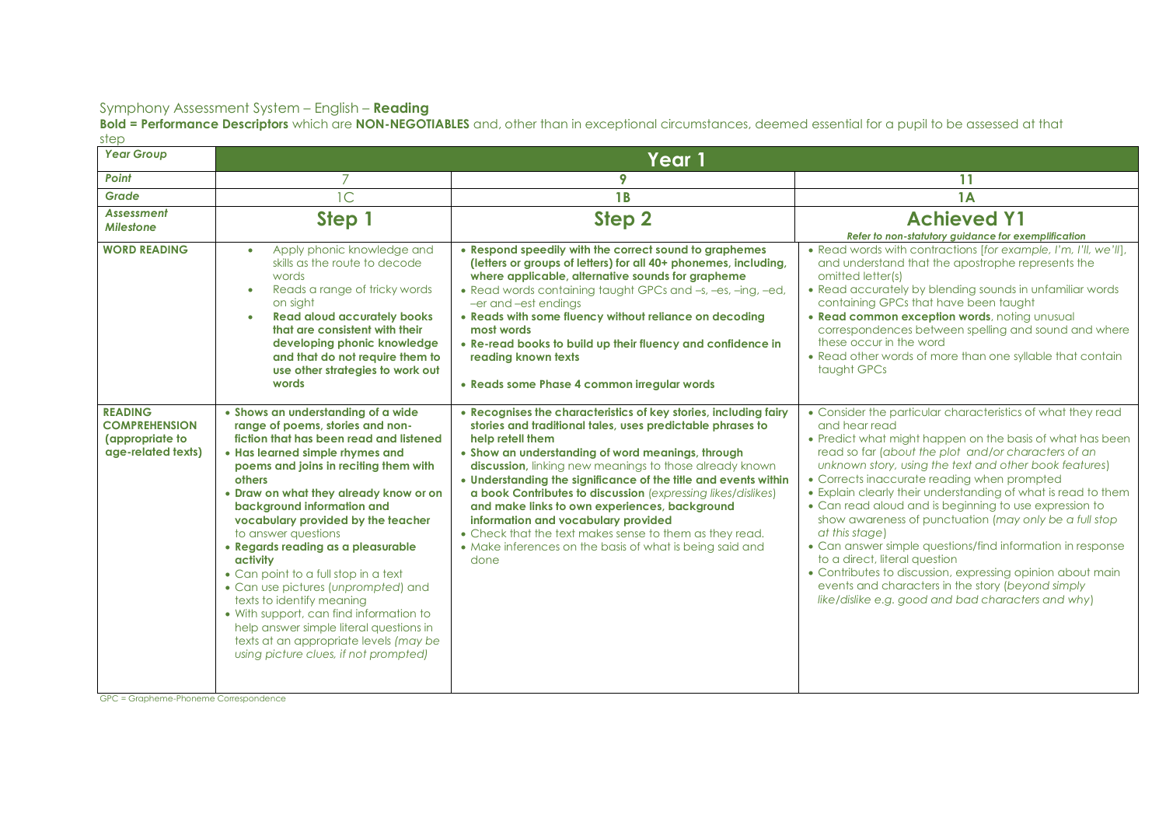**Bold = Performance Descriptors** which are **NON-NEGOTIABLES** and, other than in exceptional circumstances, deemed essential for a pupil to be assessed at that step

| $\sim$ $\sim$<br><b>Year Group</b>                                              | Year 1                                                                                                                                                                                                                                                                                                                                                                                                                                                                                                                                                                                                                                                                              |                                                                                                                                                                                                                                                                                                                                                                                                                                                                                                                                                                                                                              |                                                                                                                                                                                                                                                                                                                                                                                                                                                                                                                                                                                                                                                                                                                                                                                          |  |
|---------------------------------------------------------------------------------|-------------------------------------------------------------------------------------------------------------------------------------------------------------------------------------------------------------------------------------------------------------------------------------------------------------------------------------------------------------------------------------------------------------------------------------------------------------------------------------------------------------------------------------------------------------------------------------------------------------------------------------------------------------------------------------|------------------------------------------------------------------------------------------------------------------------------------------------------------------------------------------------------------------------------------------------------------------------------------------------------------------------------------------------------------------------------------------------------------------------------------------------------------------------------------------------------------------------------------------------------------------------------------------------------------------------------|------------------------------------------------------------------------------------------------------------------------------------------------------------------------------------------------------------------------------------------------------------------------------------------------------------------------------------------------------------------------------------------------------------------------------------------------------------------------------------------------------------------------------------------------------------------------------------------------------------------------------------------------------------------------------------------------------------------------------------------------------------------------------------------|--|
| Point                                                                           |                                                                                                                                                                                                                                                                                                                                                                                                                                                                                                                                                                                                                                                                                     | 9                                                                                                                                                                                                                                                                                                                                                                                                                                                                                                                                                                                                                            | 11                                                                                                                                                                                                                                                                                                                                                                                                                                                                                                                                                                                                                                                                                                                                                                                       |  |
| Grade                                                                           | $\mathsf{C}$                                                                                                                                                                                                                                                                                                                                                                                                                                                                                                                                                                                                                                                                        | <b>1B</b>                                                                                                                                                                                                                                                                                                                                                                                                                                                                                                                                                                                                                    | 1A                                                                                                                                                                                                                                                                                                                                                                                                                                                                                                                                                                                                                                                                                                                                                                                       |  |
| <b>Assessment</b><br><b>Milestone</b>                                           | Step 1                                                                                                                                                                                                                                                                                                                                                                                                                                                                                                                                                                                                                                                                              | Step 2                                                                                                                                                                                                                                                                                                                                                                                                                                                                                                                                                                                                                       | <b>Achieved Y1</b><br>Refer to non-statutory guidance for exemplification                                                                                                                                                                                                                                                                                                                                                                                                                                                                                                                                                                                                                                                                                                                |  |
| <b>WORD READING</b>                                                             | Apply phonic knowledge and<br>$\bullet$<br>skills as the route to decode<br>words<br>Reads a range of tricky words<br>$\bullet$<br>on sight<br><b>Read aloud accurately books</b><br>$\bullet$<br>that are consistent with their<br>developing phonic knowledge<br>and that do not require them to<br>use other strategies to work out<br>words                                                                                                                                                                                                                                                                                                                                     | • Respond speedily with the correct sound to graphemes<br>(letters or groups of letters) for all 40+ phonemes, including,<br>where applicable, alternative sounds for grapheme<br>• Read words containing taught GPCs and -s, -es, -ing, -ed,<br>-er and -est endings<br>• Reads with some fluency without reliance on decoding<br>most words<br>• Re-read books to build up their fluency and confidence in<br>reading known texts<br>• Reads some Phase 4 common irregular words                                                                                                                                           | • Read words with contractions [for example, I'm, I'll, we'll],<br>and understand that the apostrophe represents the<br>omitted letter(s)<br>• Read accurately by blending sounds in unfamiliar words<br>containing GPCs that have been taught<br>. Read common exception words, noting unusual<br>correspondences between spelling and sound and where<br>these occur in the word<br>• Read other words of more than one syllable that contain<br>taught GPCs                                                                                                                                                                                                                                                                                                                           |  |
| <b>READING</b><br><b>COMPREHENSION</b><br>(appropriate to<br>age-related texts) | • Shows an understanding of a wide<br>range of poems, stories and non-<br>fiction that has been read and listened<br>• Has learned simple rhymes and<br>poems and joins in reciting them with<br>others<br>• Draw on what they already know or on<br>background information and<br>vocabulary provided by the teacher<br>to answer questions<br>• Regards reading as a pleasurable<br>activity<br>• Can point to a full stop in a text<br>• Can use pictures (unprompted) and<br>texts to identify meaning<br>• With support, can find information to<br>help answer simple literal questions in<br>texts at an appropriate levels (may be<br>using picture clues, if not prompted) | • Recognises the characteristics of key stories, including fairy<br>stories and traditional tales, uses predictable phrases to<br>help retell them<br>• Show an understanding of word meanings, through<br>discussion, linking new meanings to those already known<br>• Understanding the significance of the title and events within<br>a book Contributes to discussion (expressing likes/dislikes)<br>and make links to own experiences, background<br>information and vocabulary provided<br>• Check that the text makes sense to them as they read.<br>• Make inferences on the basis of what is being said and<br>done | • Consider the particular characteristics of what they read<br>and hear read<br>• Predict what might happen on the basis of what has been<br>read so far (about the plot and/or characters of an<br>unknown story, using the text and other book features)<br>• Corrects inaccurate reading when prompted<br>• Explain clearly their understanding of what is read to them<br>• Can read aloud and is beginning to use expression to<br>show awareness of punctuation (may only be a full stop<br>at this stage)<br>• Can answer simple questions/find information in response<br>to a direct, literal question<br>• Contributes to discussion, expressing opinion about main<br>events and characters in the story (beyond simply<br>like/dislike e.g. good and bad characters and why) |  |

GPC = Grapheme-Phoneme Correspondence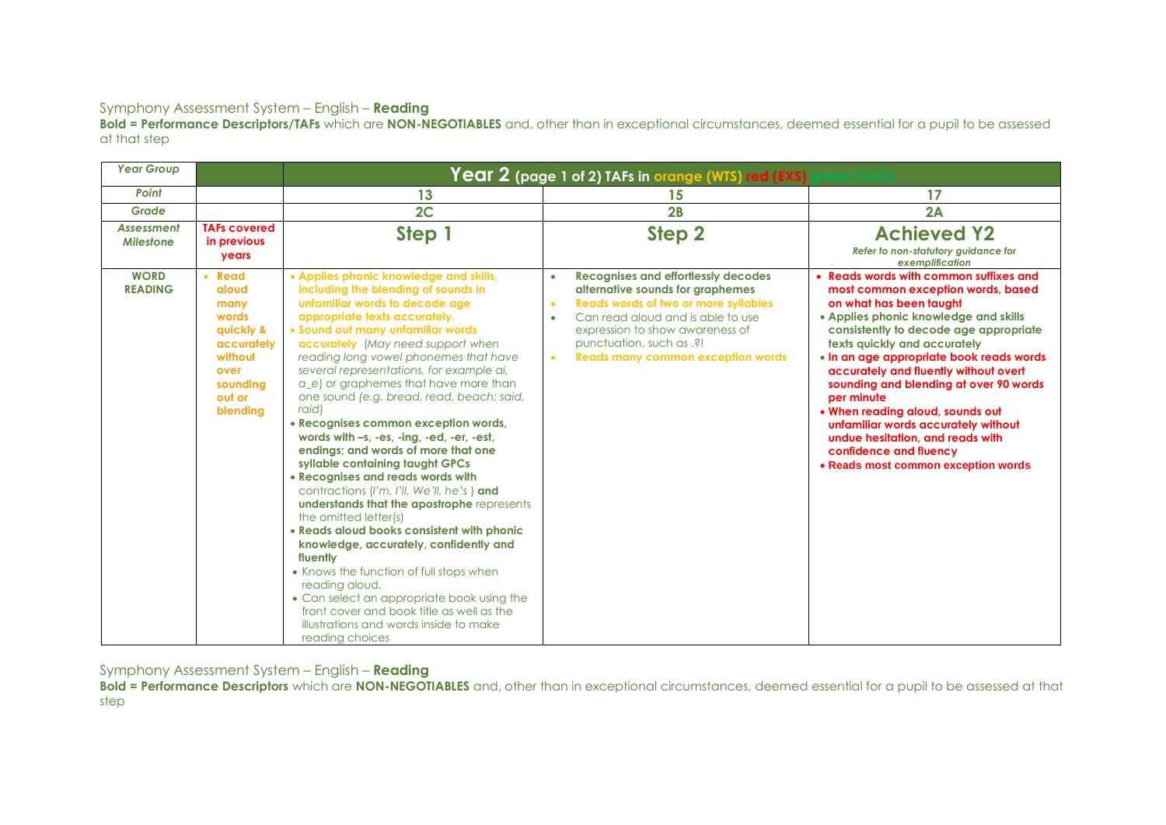**Bold = Performance Descriptors/TAFs** which are **NON-NEGOTIABLES** and, other than in exceptional circumstances, deemed essential for a pupil to be assessed at that step

| <b>Year Group</b>                     |                                                                                                                  | $\overline{\text{Year 2}}$ (page 1 of 2) TAFs in orange (WTS) red (EXS) (                                                                                                                                                                                                                                                                                                                                                                                                                                                                                                                                                                                                                                                                                                                                                                                                                                                                                                                                                                                       |                                                                                                                                                                                                                                                                                                                                   |                                                                                                                                                                                                                                                                                                                                                                                                                                                                                                                                                         |  |  |
|---------------------------------------|------------------------------------------------------------------------------------------------------------------|-----------------------------------------------------------------------------------------------------------------------------------------------------------------------------------------------------------------------------------------------------------------------------------------------------------------------------------------------------------------------------------------------------------------------------------------------------------------------------------------------------------------------------------------------------------------------------------------------------------------------------------------------------------------------------------------------------------------------------------------------------------------------------------------------------------------------------------------------------------------------------------------------------------------------------------------------------------------------------------------------------------------------------------------------------------------|-----------------------------------------------------------------------------------------------------------------------------------------------------------------------------------------------------------------------------------------------------------------------------------------------------------------------------------|---------------------------------------------------------------------------------------------------------------------------------------------------------------------------------------------------------------------------------------------------------------------------------------------------------------------------------------------------------------------------------------------------------------------------------------------------------------------------------------------------------------------------------------------------------|--|--|
| Point                                 |                                                                                                                  | 13                                                                                                                                                                                                                                                                                                                                                                                                                                                                                                                                                                                                                                                                                                                                                                                                                                                                                                                                                                                                                                                              | 15                                                                                                                                                                                                                                                                                                                                | 17                                                                                                                                                                                                                                                                                                                                                                                                                                                                                                                                                      |  |  |
| Grade                                 |                                                                                                                  | 2C                                                                                                                                                                                                                                                                                                                                                                                                                                                                                                                                                                                                                                                                                                                                                                                                                                                                                                                                                                                                                                                              | 2B                                                                                                                                                                                                                                                                                                                                | 2A                                                                                                                                                                                                                                                                                                                                                                                                                                                                                                                                                      |  |  |
| <b>Assessment</b><br><b>Milestone</b> | <b>TAFs covered</b><br>in previous<br><b>years</b>                                                               | Step 1                                                                                                                                                                                                                                                                                                                                                                                                                                                                                                                                                                                                                                                                                                                                                                                                                                                                                                                                                                                                                                                          | Step 2                                                                                                                                                                                                                                                                                                                            | <b>Achieved Y2</b><br>Refer to non-statutory guidance for<br>exemplification                                                                                                                                                                                                                                                                                                                                                                                                                                                                            |  |  |
| <b>WORD</b><br><b>READING</b>         | • Read<br>aloud<br>many<br>words<br>quickly &<br>accurately<br>without<br>over<br>soundina<br>out or<br>blending | • Applies phonic knowledge and skills,<br>including the blending of sounds in<br>unfamiliar words to decode age<br>appropriate texts accurately.<br>• Sound out many unfamiliar words<br>accurately (May need support when<br>reading long vowel phonemes that have<br>several representations, for example ai,<br>a e) or graphemes that have more than<br>one sound (e.g. bread, read, beach; said,<br>raid)<br>• Recognises common exception words,<br>words with -s, -es, -ing, -ed, -er, -est,<br>endings; and words of more that one<br>syllable containing taught GPCs<br>• Recognises and reads words with<br>contractions (I'm, I'll, We'll, he's) and<br>understands that the apostrophe represents<br>the omitted letter(s)<br>• Reads aloud books consistent with phonic<br>knowledge, accurately, confidently and<br>fluently<br>• Knows the function of full stops when<br>reading aloud.<br>• Can select an appropriate book using the<br>front cover and book title as well as the<br>illustrations and words inside to make<br>reading choices | <b>Recognises and effortlessly decodes</b><br>$\bullet$<br>alternative sounds for graphemes<br><b>Reads words of two or more syllables</b><br>$\bullet$<br>Can read aloud and is able to use<br>$\bullet$<br>expression to show awareness of<br>punctuation, such as .?!<br><b>Reads many common exception words</b><br>$\bullet$ | • Reads words with common suffixes and<br>most common exception words, based<br>on what has been taught<br>• Applies phonic knowledge and skills<br>consistently to decode age appropriate<br>texts quickly and accurately<br>• In an age appropriate book reads words<br>accurately and fluently without overt<br>sounding and blending at over 90 words<br>per minute<br>. When reading aloud, sounds out<br>unfamiliar words accurately without<br>undue hesitation, and reads with<br>confidence and fluency<br>• Reads most common exception words |  |  |

Symphony Assessment System – English – **Reading** 

**Bold = Performance Descriptors** which are **NON-NEGOTIABLES** and, other than in exceptional circumstances, deemed essential for a pupil to be assessed at that step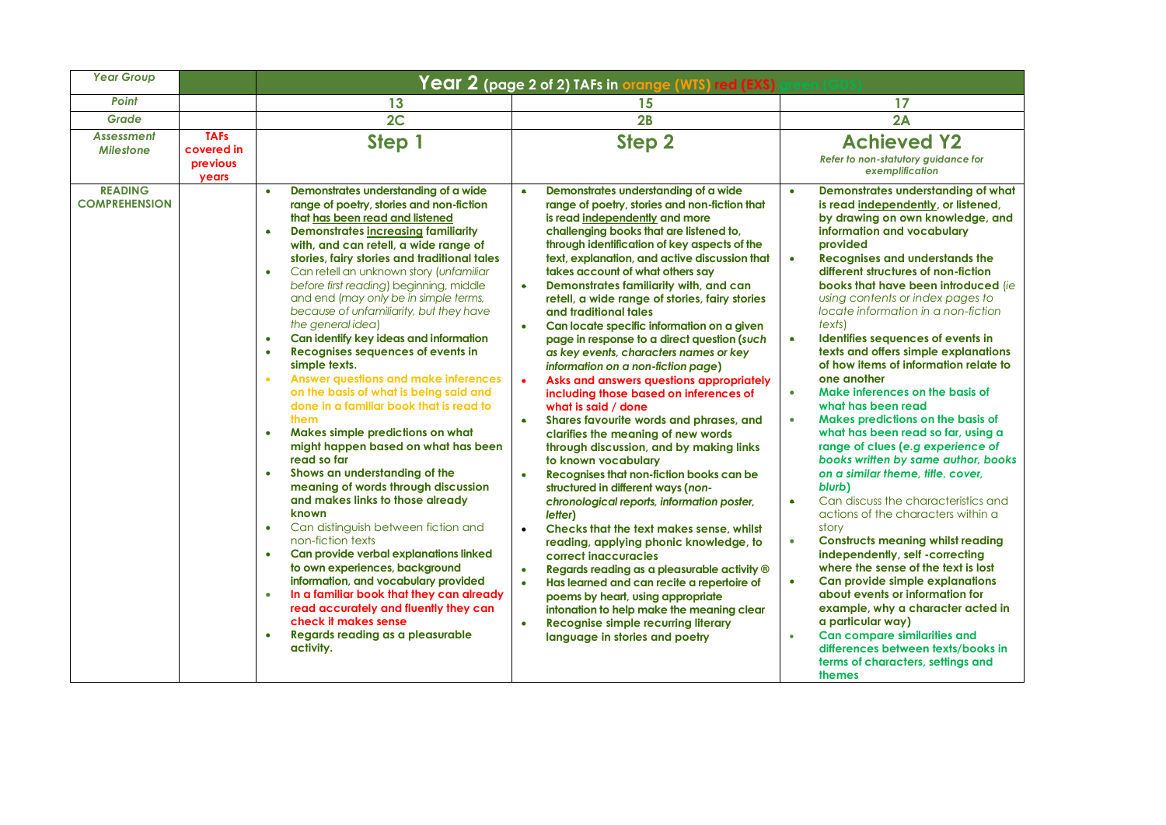| <b>Year Group</b>                                       |                                                | Year 2 (page 2 of 2) TAFs in <mark>orange (WTS) red (EXS)</mark>                                                                                                                                                                                                                                                                                                                                                                                                                                                                                                                                                                                                                                                                                                                                                                                                                                                                                                                                                                                                                                                                                                                                                                                                                                                                                                          |                                                                                                                                                                                                                                                                                                                                                                                                                                                                                                                                                                                                                                                                                                                                                                                                                                                                                                                                                                                                                                                                                                                                                                                                                                                                                                                                                                                                                                                                   |                                                                                                                                                                                                                                                                                                                                                                                                                                                                                                                                                                                                                                                                                                                                                                                                                                                                                                                                                                                                                                                                                                                                                                                                                                                                                                                   |  |  |
|---------------------------------------------------------|------------------------------------------------|---------------------------------------------------------------------------------------------------------------------------------------------------------------------------------------------------------------------------------------------------------------------------------------------------------------------------------------------------------------------------------------------------------------------------------------------------------------------------------------------------------------------------------------------------------------------------------------------------------------------------------------------------------------------------------------------------------------------------------------------------------------------------------------------------------------------------------------------------------------------------------------------------------------------------------------------------------------------------------------------------------------------------------------------------------------------------------------------------------------------------------------------------------------------------------------------------------------------------------------------------------------------------------------------------------------------------------------------------------------------------|-------------------------------------------------------------------------------------------------------------------------------------------------------------------------------------------------------------------------------------------------------------------------------------------------------------------------------------------------------------------------------------------------------------------------------------------------------------------------------------------------------------------------------------------------------------------------------------------------------------------------------------------------------------------------------------------------------------------------------------------------------------------------------------------------------------------------------------------------------------------------------------------------------------------------------------------------------------------------------------------------------------------------------------------------------------------------------------------------------------------------------------------------------------------------------------------------------------------------------------------------------------------------------------------------------------------------------------------------------------------------------------------------------------------------------------------------------------------|-------------------------------------------------------------------------------------------------------------------------------------------------------------------------------------------------------------------------------------------------------------------------------------------------------------------------------------------------------------------------------------------------------------------------------------------------------------------------------------------------------------------------------------------------------------------------------------------------------------------------------------------------------------------------------------------------------------------------------------------------------------------------------------------------------------------------------------------------------------------------------------------------------------------------------------------------------------------------------------------------------------------------------------------------------------------------------------------------------------------------------------------------------------------------------------------------------------------------------------------------------------------------------------------------------------------|--|--|
| Point                                                   |                                                | 13                                                                                                                                                                                                                                                                                                                                                                                                                                                                                                                                                                                                                                                                                                                                                                                                                                                                                                                                                                                                                                                                                                                                                                                                                                                                                                                                                                        | 15                                                                                                                                                                                                                                                                                                                                                                                                                                                                                                                                                                                                                                                                                                                                                                                                                                                                                                                                                                                                                                                                                                                                                                                                                                                                                                                                                                                                                                                                | 17                                                                                                                                                                                                                                                                                                                                                                                                                                                                                                                                                                                                                                                                                                                                                                                                                                                                                                                                                                                                                                                                                                                                                                                                                                                                                                                |  |  |
| <b>Grade</b>                                            |                                                | 2C                                                                                                                                                                                                                                                                                                                                                                                                                                                                                                                                                                                                                                                                                                                                                                                                                                                                                                                                                                                                                                                                                                                                                                                                                                                                                                                                                                        | 2B                                                                                                                                                                                                                                                                                                                                                                                                                                                                                                                                                                                                                                                                                                                                                                                                                                                                                                                                                                                                                                                                                                                                                                                                                                                                                                                                                                                                                                                                | 2A                                                                                                                                                                                                                                                                                                                                                                                                                                                                                                                                                                                                                                                                                                                                                                                                                                                                                                                                                                                                                                                                                                                                                                                                                                                                                                                |  |  |
| <b>Assessment</b><br><b>Milestone</b><br><b>READING</b> | <b>TAFs</b><br>covered in<br>previous<br>years | Step 1<br>Demonstrates understanding of a wide<br>$\bullet$                                                                                                                                                                                                                                                                                                                                                                                                                                                                                                                                                                                                                                                                                                                                                                                                                                                                                                                                                                                                                                                                                                                                                                                                                                                                                                               | Step 2<br>Demonstrates understanding of a wide                                                                                                                                                                                                                                                                                                                                                                                                                                                                                                                                                                                                                                                                                                                                                                                                                                                                                                                                                                                                                                                                                                                                                                                                                                                                                                                                                                                                                    | <b>Achieved Y2</b><br>Refer to non-statutory guidance for<br>exemplification<br>Demonstrates understanding of what<br>$\bullet$                                                                                                                                                                                                                                                                                                                                                                                                                                                                                                                                                                                                                                                                                                                                                                                                                                                                                                                                                                                                                                                                                                                                                                                   |  |  |
| <b>COMPREHENSION</b>                                    |                                                | range of poetry, stories and non-fiction<br>that has been read and listened<br><b>Demonstrates increasing familiarity</b><br>$\bullet$<br>with, and can retell, a wide range of<br>stories, fairy stories and traditional tales<br>Can retell an unknown story (unfamiliar<br>$\bullet$<br>before first reading) beginning, middle<br>and end (may only be in simple terms,<br>because of unfamiliarity, but they have<br>the general idea)<br>Can identify key ideas and information<br>$\bullet$<br>Recognises sequences of events in<br>$\bullet$<br>simple texts.<br><b>Answer questions and make inferences</b><br>$\bullet$<br>on the basis of what is being said and<br>done in a familiar book that is read to<br>them<br>Makes simple predictions on what<br>$\bullet$<br>might happen based on what has been<br>read so far<br>Shows an understanding of the<br>$\bullet$<br>meaning of words through discussion<br>and makes links to those already<br>known<br>Can distinguish between fiction and<br>$\bullet$<br>non-fiction texts<br>Can provide verbal explanations linked<br>$\bullet$<br>to own experiences, background<br>information, and vocabulary provided<br>In a familiar book that they can already<br>$\bullet$<br>read accurately and fluently they can<br>check it makes sense<br>Regards reading as a pleasurable<br>$\bullet$<br>activity. | range of poetry, stories and non-fiction that<br>is read independently and more<br>challenging books that are listened to,<br>through identification of key aspects of the<br>text, explanation, and active discussion that<br>takes account of what others say<br>Demonstrates familiarity with, and can<br>$\bullet$<br>retell, a wide range of stories, fairy stories<br>and traditional tales<br>Can locate specific information on a given<br>$\bullet$<br>page in response to a direct question (such<br>as key events, characters names or key<br>information on a non-fiction page)<br>Asks and answers questions appropriately<br>including those based on inferences of<br>what is said / done<br>Shares favourite words and phrases, and<br>$\bullet$<br>clarifies the meaning of new words<br>through discussion, and by making links<br>to known vocabulary<br>Recognises that non-fiction books can be<br>$\bullet$<br>structured in different ways (non-<br>chronological reports, information poster,<br>letter)<br>Checks that the text makes sense, whilst<br>$\bullet$<br>reading, applying phonic knowledge, to<br>correct inaccuracies<br>Regards reading as a pleasurable activity ®<br>$\bullet$<br>Has learned and can recite a repertoire of<br>$\bullet$<br>poems by heart, using appropriate<br>intonation to help make the meaning clear<br><b>Recognise simple recurring literary</b><br>$\bullet$<br>language in stories and poetry | is read independently, or listened,<br>by drawing on own knowledge, and<br>information and vocabulary<br>provided<br><b>Recognises and understands the</b><br>$\bullet$<br>different structures of non-fiction<br>books that have been introduced (ie<br>using contents or index pages to<br>locate information in a non-fiction<br>texts)<br>$\bullet$<br>Identifies sequences of events in<br>texts and offers simple explanations<br>of how items of information relate to<br>one another<br>Make inferences on the basis of<br>$\bullet$<br>what has been read<br>Makes predictions on the basis of<br>$\bullet$<br>what has been read so far, using a<br>range of clues (e.g experience of<br>books written by same author, books<br>on a similar theme, title, cover,<br>blurb)<br>Can discuss the characteristics and<br>$\bullet$<br>actions of the characters within a<br>story<br><b>Constructs meaning whilst reading</b><br>$\bullet$<br>independently, self -correcting<br>where the sense of the text is lost<br>Can provide simple explanations<br>$\bullet$<br>about events or information for<br>example, why a character acted in<br>a particular way)<br><b>Can compare similarities and</b><br>$\bullet$<br>differences between texts/books in<br>terms of characters, settings and<br>themes |  |  |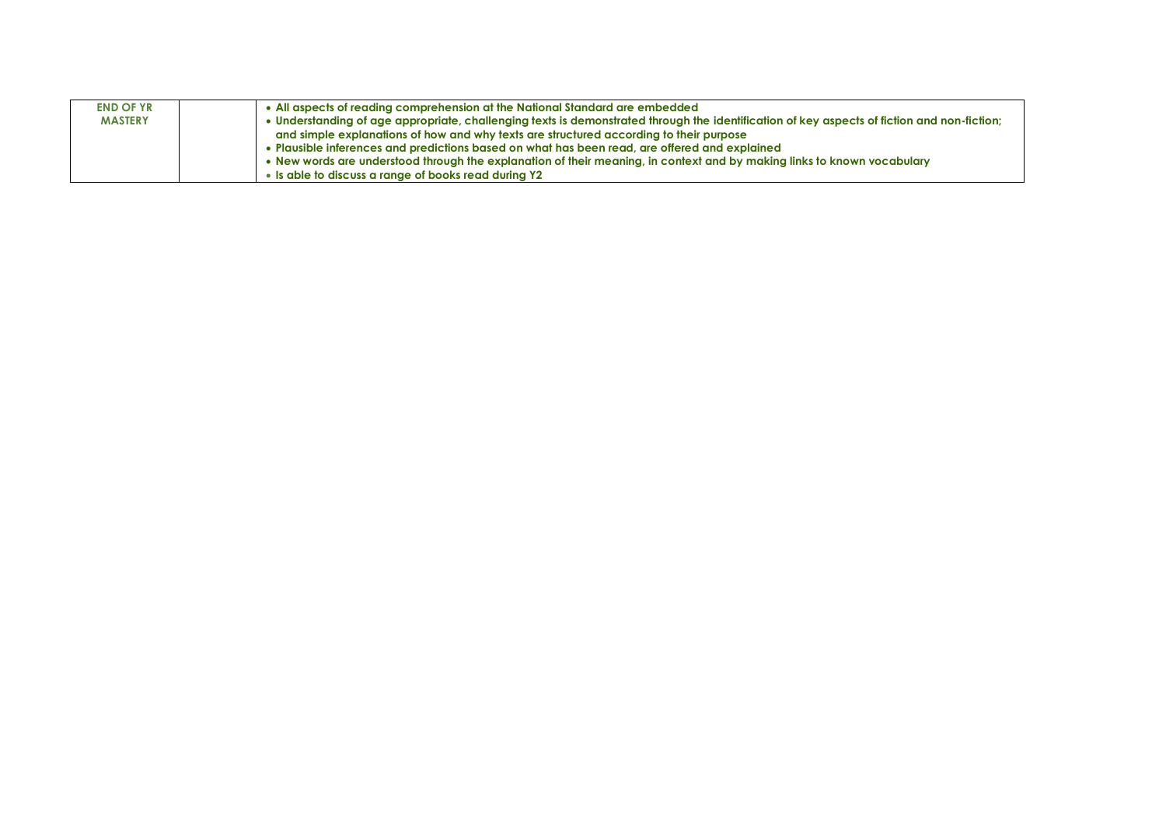| <b>END OF YR</b> | • All aspects of reading comprehension at the National Standard are embedded                                                                |
|------------------|---------------------------------------------------------------------------------------------------------------------------------------------|
| <b>MASTERY</b>   | • Understanding of age appropriate, challenging texts is demonstrated through the identification of key aspects of fiction and non-fiction; |
|                  | and simple explanations of how and why texts are structured according to their purpose                                                      |
|                  | . Plausible inferences and predictions based on what has been read, are offered and explained                                               |
|                  | . New words are understood through the explanation of their meaning, in context and by making links to known vocabulary                     |
|                  | • Is able to discuss a range of books read during Y2                                                                                        |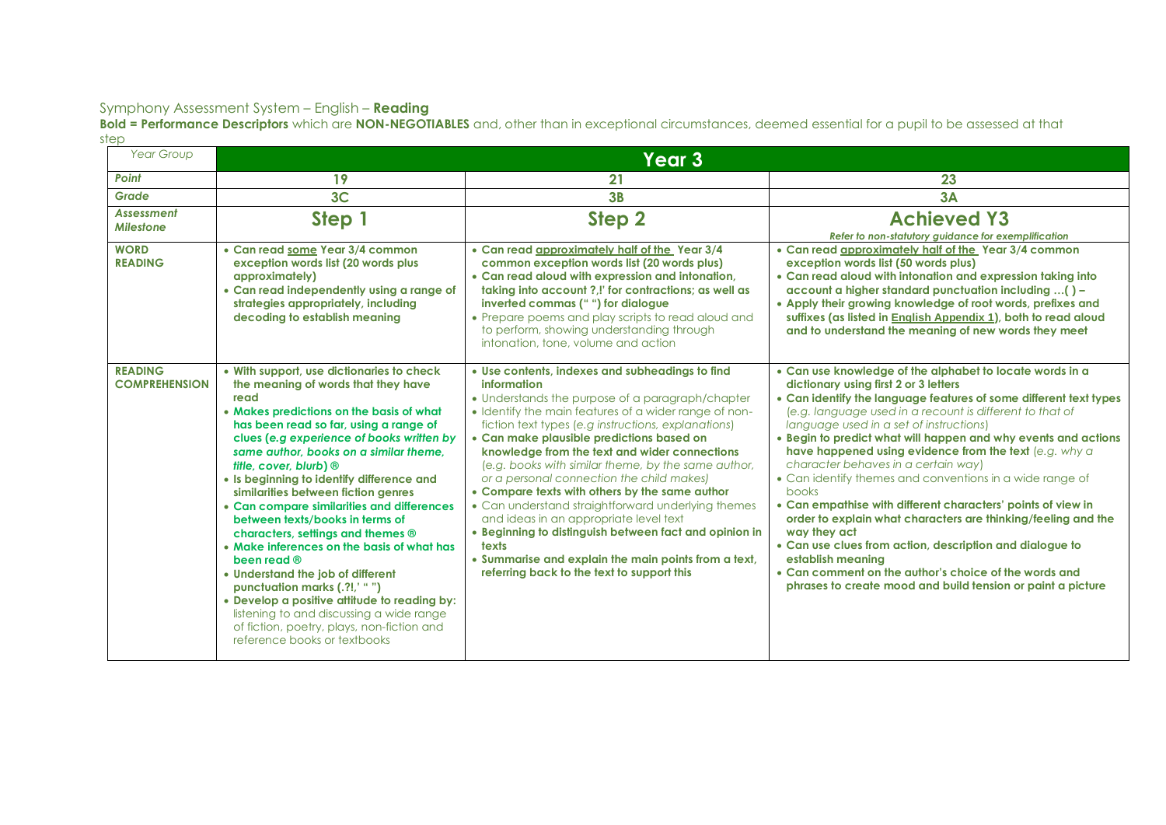**Bold = Performance Descriptors** which are **NON-NEGOTIABLES** and, other than in exceptional circumstances, deemed essential for a pupil to be assessed at that step

| <b>Year Group</b>                      | Year 3                                                                                                                                                                                                                                                                                                                                                                                                                                                                                                                                                                                                                                                                                                                                                                                                                |                                                                                                                                                                                                                                                                                                                                                                                                                                                                                                                                                                                                                                                                                                                                                                 |                                                                                                                                                                                                                                                                                                                                                                                                                                                                                                                                                                                                                                                                                                                                                                                                                                                                                 |  |  |
|----------------------------------------|-----------------------------------------------------------------------------------------------------------------------------------------------------------------------------------------------------------------------------------------------------------------------------------------------------------------------------------------------------------------------------------------------------------------------------------------------------------------------------------------------------------------------------------------------------------------------------------------------------------------------------------------------------------------------------------------------------------------------------------------------------------------------------------------------------------------------|-----------------------------------------------------------------------------------------------------------------------------------------------------------------------------------------------------------------------------------------------------------------------------------------------------------------------------------------------------------------------------------------------------------------------------------------------------------------------------------------------------------------------------------------------------------------------------------------------------------------------------------------------------------------------------------------------------------------------------------------------------------------|---------------------------------------------------------------------------------------------------------------------------------------------------------------------------------------------------------------------------------------------------------------------------------------------------------------------------------------------------------------------------------------------------------------------------------------------------------------------------------------------------------------------------------------------------------------------------------------------------------------------------------------------------------------------------------------------------------------------------------------------------------------------------------------------------------------------------------------------------------------------------------|--|--|
| Point                                  | 19                                                                                                                                                                                                                                                                                                                                                                                                                                                                                                                                                                                                                                                                                                                                                                                                                    | 21                                                                                                                                                                                                                                                                                                                                                                                                                                                                                                                                                                                                                                                                                                                                                              | 23                                                                                                                                                                                                                                                                                                                                                                                                                                                                                                                                                                                                                                                                                                                                                                                                                                                                              |  |  |
| Grade                                  | 3 <sub>C</sub>                                                                                                                                                                                                                                                                                                                                                                                                                                                                                                                                                                                                                                                                                                                                                                                                        | 3B                                                                                                                                                                                                                                                                                                                                                                                                                                                                                                                                                                                                                                                                                                                                                              | 3A                                                                                                                                                                                                                                                                                                                                                                                                                                                                                                                                                                                                                                                                                                                                                                                                                                                                              |  |  |
| Assessment<br><b>Milestone</b>         | Step 1                                                                                                                                                                                                                                                                                                                                                                                                                                                                                                                                                                                                                                                                                                                                                                                                                | Step 2                                                                                                                                                                                                                                                                                                                                                                                                                                                                                                                                                                                                                                                                                                                                                          | <b>Achieved Y3</b><br>Refer to non-statutory guidance for exemplification                                                                                                                                                                                                                                                                                                                                                                                                                                                                                                                                                                                                                                                                                                                                                                                                       |  |  |
| <b>WORD</b><br><b>READING</b>          | • Can read some Year 3/4 common<br>exception words list (20 words plus<br>approximately)<br>• Can read independently using a range of<br>strategies appropriately, including<br>decoding to establish meaning                                                                                                                                                                                                                                                                                                                                                                                                                                                                                                                                                                                                         | • Can read approximately half of the Year 3/4<br>common exception words list (20 words plus)<br>• Can read aloud with expression and intonation,<br>taking into account ?.!' for contractions; as well as<br>inverted commas (" ") for dialogue<br>• Prepare poems and play scripts to read aloud and<br>to perform, showing understanding through<br>intonation, tone, volume and action                                                                                                                                                                                                                                                                                                                                                                       | • Can read approximately half of the Year 3/4 common<br>exception words list (50 words plus)<br>• Can read aloud with intonation and expression taking into<br>account a higher standard punctuation including () -<br>• Apply their growing knowledge of root words, prefixes and<br>suffixes (as listed in <b>English Appendix 1</b> ), both to read aloud<br>and to understand the meaning of new words they meet                                                                                                                                                                                                                                                                                                                                                                                                                                                            |  |  |
| <b>READING</b><br><b>COMPREHENSION</b> | • With support, use dictionaries to check<br>the meaning of words that they have<br>read<br>• Makes predictions on the basis of what<br>has been read so far, using a range of<br>clues (e.g experience of books written by<br>same author, books on a similar theme.<br>title, cover, blurb) ®<br>• Is beginning to identify difference and<br>similarities between fiction genres<br>• Can compare similarities and differences<br>between texts/books in terms of<br>characters, settings and themes ®<br>• Make inferences on the basis of what has<br>been read ®<br>• Understand the job of different<br>punctuation marks (.?!,' "")<br>• Develop a positive attitude to reading by:<br>listening to and discussing a wide range<br>of fiction, poetry, plays, non-fiction and<br>reference books or textbooks | . Use contents, indexes and subheadings to find<br>information<br>• Understands the purpose of a paragraph/chapter<br>• Identify the main features of a wider range of non-<br>fiction text types (e.g instructions, explanations)<br>• Can make plausible predictions based on<br>knowledge from the text and wider connections<br>(e.g. books with similar theme, by the same author,<br>or a personal connection the child makes)<br>• Compare texts with others by the same author<br>• Can understand straightforward underlying themes<br>and ideas in an appropriate level text<br>• Beginning to distinguish between fact and opinion in<br>texts<br>• Summarise and explain the main points from a text,<br>referring back to the text to support this | • Can use knowledge of the alphabet to locate words in a<br>dictionary using first 2 or 3 letters<br>• Can identify the language features of some different text types<br>(e.g. language used in a recount is different to that of<br>language used in a set of instructions)<br>• Begin to predict what will happen and why events and actions<br>have happened using evidence from the text (e.g. why a<br>character behaves in a certain way)<br>• Can identify themes and conventions in a wide range of<br>books<br>• Can empathise with different characters' points of view in<br>order to explain what characters are thinking/feeling and the<br>way they act<br>• Can use clues from action, description and dialogue to<br>establish meaning<br>• Can comment on the author's choice of the words and<br>phrases to create mood and build tension or paint a picture |  |  |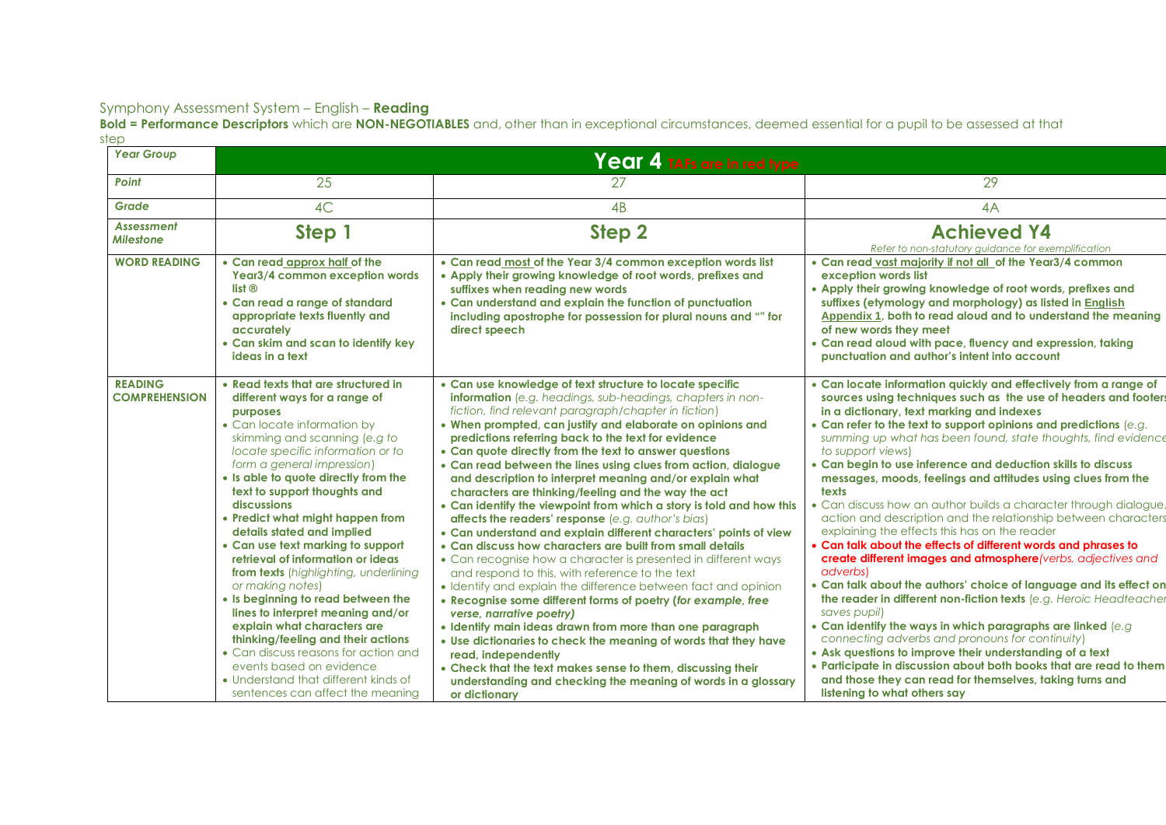**Bold = Performance Descriptors** which are **NON-NEGOTIABLES** and, other than in exceptional circumstances, deemed essential for a pupil to be assessed at that step

| <b>Year Group</b>                      | Year 4 TAFs are in red type                                                                                                                                                                                                                                                                                                                                                                                                                                                                                                                                                                                                                                                                                                                                                                                         |                                                                                                                                                                                                                                                                                                                                                                                                                                                                                                                                                                                                                                                                                                                                                                                                                                                                                                                                                                                                                                                                                                                                                                                                                                                                                                                                                                                                                      |                                                                                                                                                                                                                                                                                                                                                                                                                                                                                                                                                                                                                                                                                                                                                                                                                                                                                                                                                                                                                                                                                                                                                                                                                                                                                                                                        |  |  |  |
|----------------------------------------|---------------------------------------------------------------------------------------------------------------------------------------------------------------------------------------------------------------------------------------------------------------------------------------------------------------------------------------------------------------------------------------------------------------------------------------------------------------------------------------------------------------------------------------------------------------------------------------------------------------------------------------------------------------------------------------------------------------------------------------------------------------------------------------------------------------------|----------------------------------------------------------------------------------------------------------------------------------------------------------------------------------------------------------------------------------------------------------------------------------------------------------------------------------------------------------------------------------------------------------------------------------------------------------------------------------------------------------------------------------------------------------------------------------------------------------------------------------------------------------------------------------------------------------------------------------------------------------------------------------------------------------------------------------------------------------------------------------------------------------------------------------------------------------------------------------------------------------------------------------------------------------------------------------------------------------------------------------------------------------------------------------------------------------------------------------------------------------------------------------------------------------------------------------------------------------------------------------------------------------------------|----------------------------------------------------------------------------------------------------------------------------------------------------------------------------------------------------------------------------------------------------------------------------------------------------------------------------------------------------------------------------------------------------------------------------------------------------------------------------------------------------------------------------------------------------------------------------------------------------------------------------------------------------------------------------------------------------------------------------------------------------------------------------------------------------------------------------------------------------------------------------------------------------------------------------------------------------------------------------------------------------------------------------------------------------------------------------------------------------------------------------------------------------------------------------------------------------------------------------------------------------------------------------------------------------------------------------------------|--|--|--|
| Point                                  | 25                                                                                                                                                                                                                                                                                                                                                                                                                                                                                                                                                                                                                                                                                                                                                                                                                  | 27                                                                                                                                                                                                                                                                                                                                                                                                                                                                                                                                                                                                                                                                                                                                                                                                                                                                                                                                                                                                                                                                                                                                                                                                                                                                                                                                                                                                                   | 29                                                                                                                                                                                                                                                                                                                                                                                                                                                                                                                                                                                                                                                                                                                                                                                                                                                                                                                                                                                                                                                                                                                                                                                                                                                                                                                                     |  |  |  |
| Grade                                  | 4C                                                                                                                                                                                                                                                                                                                                                                                                                                                                                                                                                                                                                                                                                                                                                                                                                  | 4B                                                                                                                                                                                                                                                                                                                                                                                                                                                                                                                                                                                                                                                                                                                                                                                                                                                                                                                                                                                                                                                                                                                                                                                                                                                                                                                                                                                                                   | 4A                                                                                                                                                                                                                                                                                                                                                                                                                                                                                                                                                                                                                                                                                                                                                                                                                                                                                                                                                                                                                                                                                                                                                                                                                                                                                                                                     |  |  |  |
| <b>Assessment</b><br><b>Milestone</b>  | Step 1                                                                                                                                                                                                                                                                                                                                                                                                                                                                                                                                                                                                                                                                                                                                                                                                              | Step <sub>2</sub>                                                                                                                                                                                                                                                                                                                                                                                                                                                                                                                                                                                                                                                                                                                                                                                                                                                                                                                                                                                                                                                                                                                                                                                                                                                                                                                                                                                                    | <b>Achieved Y4</b><br>Refer to non-statutory quidance for exemplification                                                                                                                                                                                                                                                                                                                                                                                                                                                                                                                                                                                                                                                                                                                                                                                                                                                                                                                                                                                                                                                                                                                                                                                                                                                              |  |  |  |
| <b>WORD READING</b>                    | • Can read approx half of the<br>Year3/4 common exception words<br>$list ⑤$<br>• Can read a range of standard<br>appropriate texts fluently and<br>accurately<br>• Can skim and scan to identify key<br>ideas in a text                                                                                                                                                                                                                                                                                                                                                                                                                                                                                                                                                                                             | • Can read most of the Year 3/4 common exception words list<br>• Apply their growing knowledge of root words, prefixes and<br>suffixes when reading new words<br>• Can understand and explain the function of punctuation<br>including apostrophe for possession for plural nouns and "" for<br>direct speech                                                                                                                                                                                                                                                                                                                                                                                                                                                                                                                                                                                                                                                                                                                                                                                                                                                                                                                                                                                                                                                                                                        | . Can read vast majority if not all of the Year3/4 common<br>exception words list<br>• Apply their growing knowledge of root words, prefixes and<br>suffixes (etymology and morphology) as listed in English<br>Appendix 1, both to read aloud and to understand the meaning<br>of new words they meet<br>• Can read aloud with pace, fluency and expression, taking<br>punctuation and author's intent into account                                                                                                                                                                                                                                                                                                                                                                                                                                                                                                                                                                                                                                                                                                                                                                                                                                                                                                                   |  |  |  |
| <b>READING</b><br><b>COMPREHENSION</b> | • Read texts that are structured in<br>different ways for a range of<br>purposes<br>• Can locate information by<br>skimming and scanning (e.g to<br>locate specific information or to<br>form a general impression)<br>• Is able to quote directly from the<br>text to support thoughts and<br>discussions<br>• Predict what might happen from<br>details stated and implied<br>• Can use text marking to support<br>retrieval of information or ideas<br>from texts (highlighting, underlining<br>or making notes)<br>• Is beginning to read between the<br>lines to interpret meaning and/or<br>explain what characters are<br>thinking/feeling and their actions<br>• Can discuss reasons for action and<br>events based on evidence<br>• Understand that different kinds of<br>sentences can affect the meaning | • Can use knowledge of text structure to locate specific<br><b>information</b> (e.g. headings, sub-headings, chapters in non-<br>fiction, find relevant paragraph/chapter in fiction)<br>• When prompted, can justify and elaborate on opinions and<br>predictions referring back to the text for evidence<br>• Can quote directly from the text to answer questions<br>• Can read between the lines using clues from action, dialogue<br>and description to interpret meaning and/or explain what<br>characters are thinking/feeling and the way the act<br>• Can identify the viewpoint from which a story is told and how this<br>affects the readers' response (e.g. author's bias)<br>• Can understand and explain different characters' points of view<br>• Can discuss how characters are built from small details<br>• Can recognise how a character is presented in different ways<br>and respond to this, with reference to the text<br>• Identify and explain the difference between fact and opinion<br>• Recognise some different forms of poetry (for example, free<br>verse, narrative poetry)<br>• Identify main ideas drawn from more than one paragraph<br>. Use dictionaries to check the meaning of words that they have<br>read, independently<br>• Check that the text makes sense to them, discussing their<br>understanding and checking the meaning of words in a glossary<br>or dictionary | • Can locate information quickly and effectively from a range of<br>sources using techniques such as the use of headers and footers<br>in a dictionary, text marking and indexes<br>• Can refer to the text to support opinions and predictions (e.g.<br>summing up what has been found, state thoughts, find evidence<br>to support views)<br>• Can begin to use inference and deduction skills to discuss<br>messages, moods, feelings and attitudes using clues from the<br>texts<br>• Can discuss how an author builds a character through dialogue,<br>action and description and the relationship between characters<br>explaining the effects this has on the reader<br>. Can talk about the effects of different words and phrases to<br>create different images and atmosphere (verbs, adjectives and<br>adverbs)<br>• Can talk about the authors' choice of language and its effect on<br>the reader in different non-fiction texts (e.g. Heroic Headteacher<br>saves pupil)<br>• Can identify the ways in which paragraphs are linked (e.g<br>connecting adverbs and pronouns for continuity)<br>• Ask questions to improve their understanding of a text<br>• Participate in discussion about both books that are read to them<br>and those they can read for themselves, taking turns and<br>listening to what others say |  |  |  |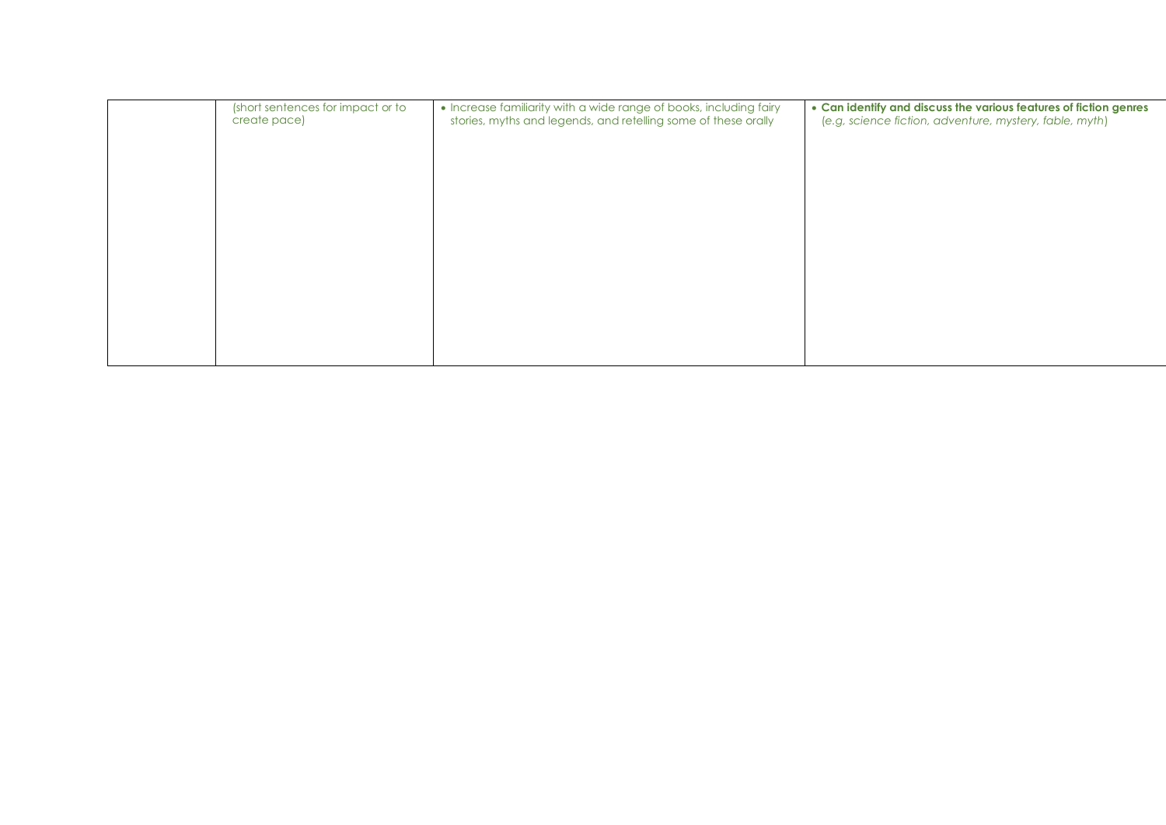| (short sentences for impact or to<br>create pace) | • Increase familiarity with a wide range of books, including fairy<br>stories, myths and legends, and retelling some of these orally | • Can identify and discuss the various features of fiction genres<br>(e.g, science fiction, adventure, mystery, fable, myth) |
|---------------------------------------------------|--------------------------------------------------------------------------------------------------------------------------------------|------------------------------------------------------------------------------------------------------------------------------|
|                                                   |                                                                                                                                      |                                                                                                                              |
|                                                   |                                                                                                                                      |                                                                                                                              |
|                                                   |                                                                                                                                      |                                                                                                                              |
|                                                   |                                                                                                                                      |                                                                                                                              |
|                                                   |                                                                                                                                      |                                                                                                                              |
|                                                   |                                                                                                                                      |                                                                                                                              |
|                                                   |                                                                                                                                      |                                                                                                                              |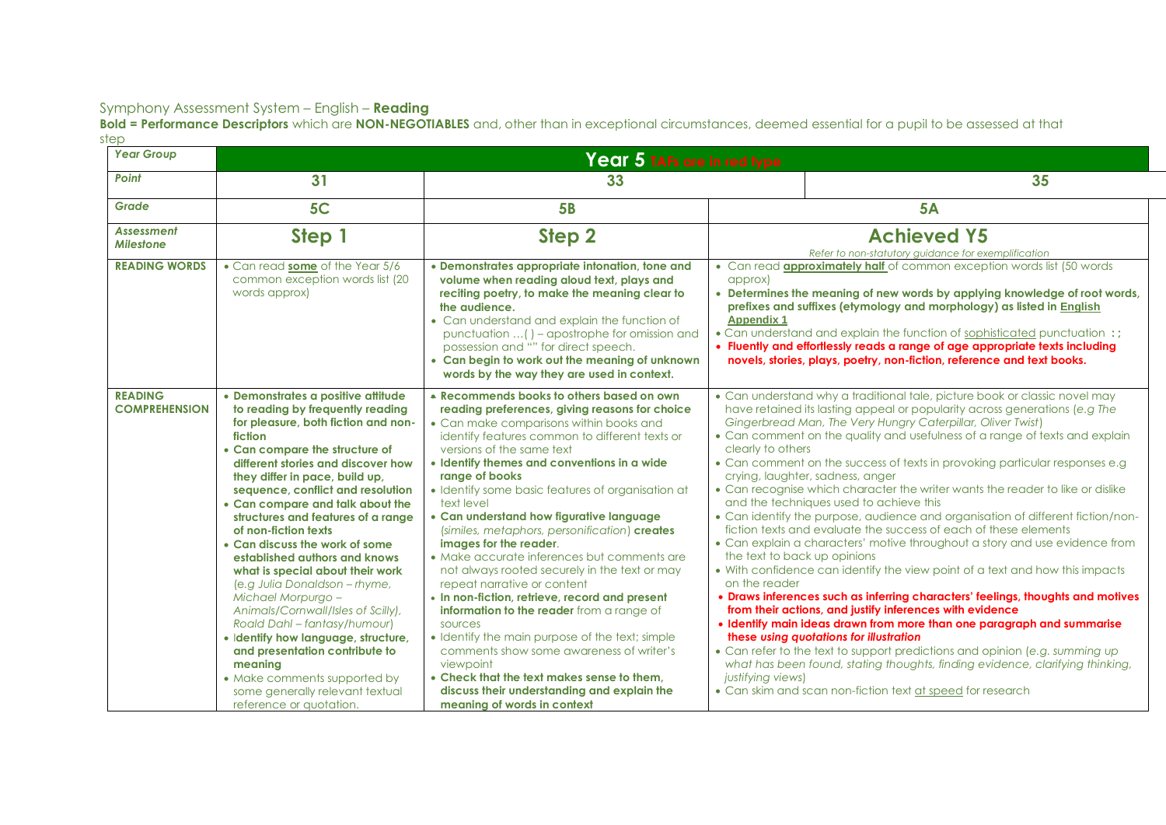**Bold = Performance Descriptors** which are **NON-NEGOTIABLES** and, other than in exceptional circumstances, deemed essential for a pupil to be assessed at that step

| <b>Year Group</b>                      | Year 5 TAFs are in red type                                                                                                                                                                                                                                                                                                                                                                                                                                                                                                                                                                                                                                                                                                                                                                     |                                                                                                                                                                                                                                                                                                                                                                                                                                                                                                                                                                                                                                                                                                                                                                                                                                                                                                                                                                   |                                                                                                                                                                                                                                                                                                                                                                                                                                                                                                                                                                                                                                                                                                                                                                                                                                                                                                                                                                                                                                                                                                                                                                                                                                                                                                                                                                                                                                                                           |  |  |
|----------------------------------------|-------------------------------------------------------------------------------------------------------------------------------------------------------------------------------------------------------------------------------------------------------------------------------------------------------------------------------------------------------------------------------------------------------------------------------------------------------------------------------------------------------------------------------------------------------------------------------------------------------------------------------------------------------------------------------------------------------------------------------------------------------------------------------------------------|-------------------------------------------------------------------------------------------------------------------------------------------------------------------------------------------------------------------------------------------------------------------------------------------------------------------------------------------------------------------------------------------------------------------------------------------------------------------------------------------------------------------------------------------------------------------------------------------------------------------------------------------------------------------------------------------------------------------------------------------------------------------------------------------------------------------------------------------------------------------------------------------------------------------------------------------------------------------|---------------------------------------------------------------------------------------------------------------------------------------------------------------------------------------------------------------------------------------------------------------------------------------------------------------------------------------------------------------------------------------------------------------------------------------------------------------------------------------------------------------------------------------------------------------------------------------------------------------------------------------------------------------------------------------------------------------------------------------------------------------------------------------------------------------------------------------------------------------------------------------------------------------------------------------------------------------------------------------------------------------------------------------------------------------------------------------------------------------------------------------------------------------------------------------------------------------------------------------------------------------------------------------------------------------------------------------------------------------------------------------------------------------------------------------------------------------------------|--|--|
| Point                                  | 31                                                                                                                                                                                                                                                                                                                                                                                                                                                                                                                                                                                                                                                                                                                                                                                              | 33                                                                                                                                                                                                                                                                                                                                                                                                                                                                                                                                                                                                                                                                                                                                                                                                                                                                                                                                                                | 35                                                                                                                                                                                                                                                                                                                                                                                                                                                                                                                                                                                                                                                                                                                                                                                                                                                                                                                                                                                                                                                                                                                                                                                                                                                                                                                                                                                                                                                                        |  |  |
| Grade                                  | 5C                                                                                                                                                                                                                                                                                                                                                                                                                                                                                                                                                                                                                                                                                                                                                                                              | <b>5B</b>                                                                                                                                                                                                                                                                                                                                                                                                                                                                                                                                                                                                                                                                                                                                                                                                                                                                                                                                                         | <b>5A</b>                                                                                                                                                                                                                                                                                                                                                                                                                                                                                                                                                                                                                                                                                                                                                                                                                                                                                                                                                                                                                                                                                                                                                                                                                                                                                                                                                                                                                                                                 |  |  |
| <b>Assessment</b><br><b>Milestone</b>  | Step 1                                                                                                                                                                                                                                                                                                                                                                                                                                                                                                                                                                                                                                                                                                                                                                                          | Step 2                                                                                                                                                                                                                                                                                                                                                                                                                                                                                                                                                                                                                                                                                                                                                                                                                                                                                                                                                            | <b>Achieved Y5</b><br>Refer to non-statutory guidance for exemplification                                                                                                                                                                                                                                                                                                                                                                                                                                                                                                                                                                                                                                                                                                                                                                                                                                                                                                                                                                                                                                                                                                                                                                                                                                                                                                                                                                                                 |  |  |
| <b>READING WORDS</b>                   | • Can read some of the Year 5/6<br>common exception words list (20<br>words approx)                                                                                                                                                                                                                                                                                                                                                                                                                                                                                                                                                                                                                                                                                                             | • Demonstrates appropriate intonation, tone and<br>volume when reading aloud text, plays and<br>reciting poetry, to make the meaning clear to<br>the audience.<br>• Can understand and explain the function of<br>punctuation () - apostrophe for omission and<br>possession and "" for direct speech.<br>• Can begin to work out the meaning of unknown<br>words by the way they are used in context.                                                                                                                                                                                                                                                                                                                                                                                                                                                                                                                                                            | • Can read <b>approximately half</b> of common exception words list (50 words<br>approx)<br>• Determines the meaning of new words by applying knowledge of root words,<br>prefixes and suffixes (etymology and morphology) as listed in English<br><b>Appendix 1</b><br>• Can understand and explain the function of sophisticated punctuation :;<br>• Fluently and effortlessly reads a range of age appropriate texts including<br>novels, stories, plays, poetry, non-fiction, reference and text books.                                                                                                                                                                                                                                                                                                                                                                                                                                                                                                                                                                                                                                                                                                                                                                                                                                                                                                                                                               |  |  |
| <b>READING</b><br><b>COMPREHENSION</b> | · Demonstrates a positive attitude<br>to reading by frequently reading<br>for pleasure, both fiction and non-<br>fiction<br>• Can compare the structure of<br>different stories and discover how<br>they differ in pace, build up,<br>sequence, conflict and resolution<br>• Can compare and talk about the<br>structures and features of a range<br>of non-fiction texts<br>• Can discuss the work of some<br>established authors and knows<br>what is special about their work<br>(e.g Julia Donaldson - rhyme,<br>Michael Morpurgo -<br>Animals/Cornwall/Isles of Scilly),<br>Roald Dahl - fantasy/humour)<br>· Identify how language, structure,<br>and presentation contribute to<br>meaning<br>• Make comments supported by<br>some generally relevant textual<br>reference or quotation. | • Recommends books to others based on own<br>reading preferences, giving reasons for choice<br>• Can make comparisons within books and<br>identify features common to different texts or<br>versions of the same text<br>• Identify themes and conventions in a wide<br>range of books<br>• Identify some basic features of organisation at<br>text level<br>• Can understand how figurative language<br>(similes, metaphors, personification) creates<br>images for the reader.<br>• Make accurate inferences but comments are<br>not always rooted securely in the text or may<br>repeat narrative or content<br>• In non-fiction, retrieve, record and present<br>information to the reader from a range of<br>sources<br>• Identify the main purpose of the text; simple<br>comments show some awareness of writer's<br>viewpoint<br>• Check that the text makes sense to them.<br>discuss their understanding and explain the<br>meaning of words in context | • Can understand why a traditional tale, picture book or classic novel may<br>have retained its lasting appeal or popularity across generations (e.g The<br>Gingerbread Man, The Very Hungry Caterpillar, Oliver Twist)<br>• Can comment on the quality and usefulness of a range of texts and explain<br>clearly to others<br>• Can comment on the success of texts in provoking particular responses e.g<br>crying, laughter, sadness, anger<br>• Can recognise which character the writer wants the reader to like or dislike<br>and the techniques used to achieve this<br>• Can identify the purpose, audience and organisation of different fiction/non-<br>fiction texts and evaluate the success of each of these elements<br>• Can explain a characters' motive throughout a story and use evidence from<br>the text to back up opinions<br>• With confidence can identify the view point of a text and how this impacts<br>on the reader<br>• Draws inferences such as inferring characters' feelings, thoughts and motives<br>from their actions, and justify inferences with evidence<br>· Identify main ideas drawn from more than one paragraph and summarise<br>these using quotations for illustration<br>• Can refer to the text to support predictions and opinion (e.g. summing up<br>what has been found, stating thoughts, finding evidence, clarifying thinking,<br>justifying views)<br>• Can skim and scan non-fiction text at speed for research |  |  |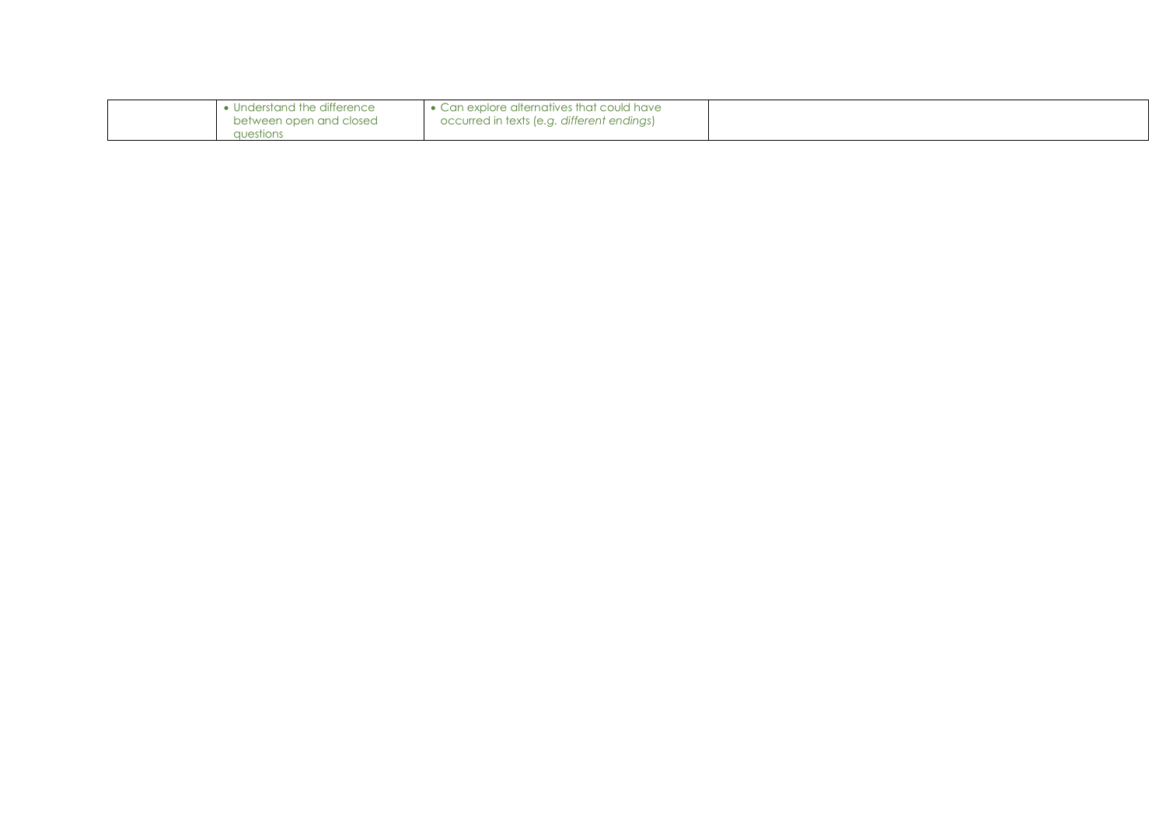| Understand the difference | • Can explore alternatives that could have |  |
|---------------------------|--------------------------------------------|--|
| between open and closed   | occurred in texts (e.g. different endings) |  |
| questions                 |                                            |  |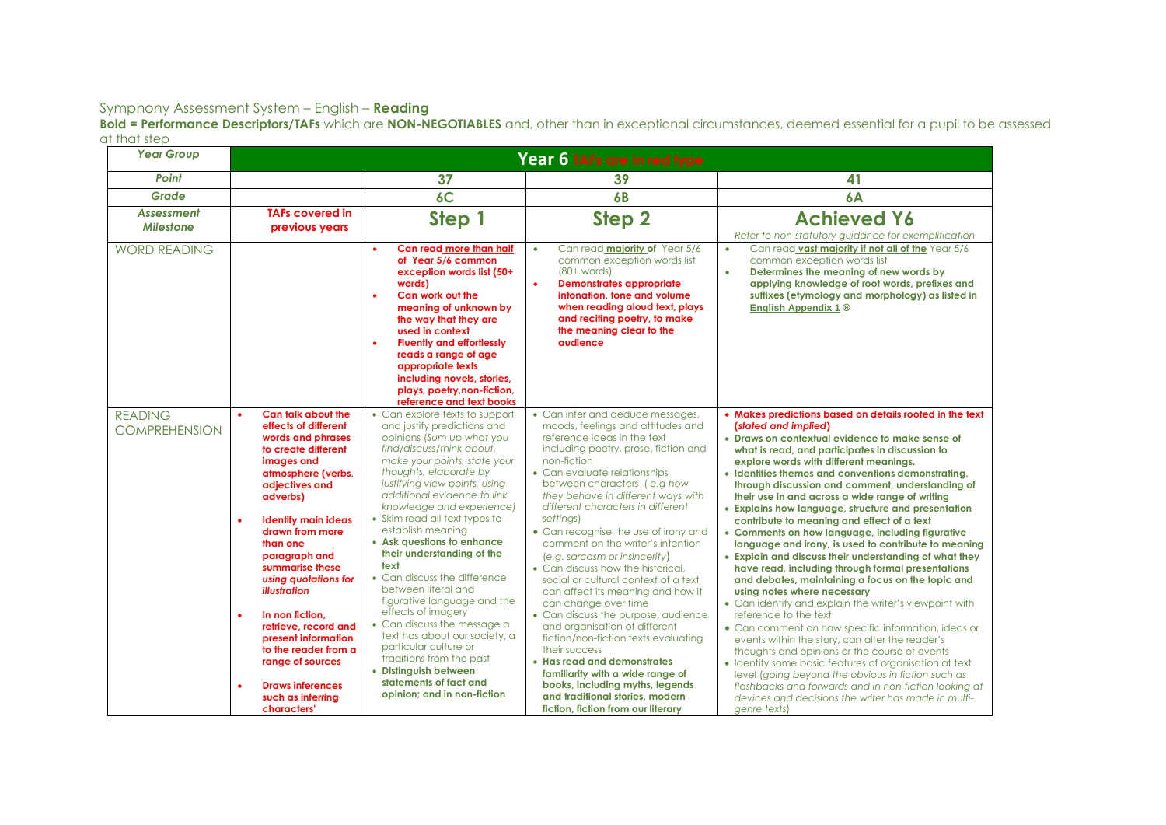**Bold = Performance Descriptors/TAFs** which are **NON-NEGOTIABLES** and, other than in exceptional circumstances, deemed essential for a pupil to be assessed at that step

| <b>Year Group</b>                      | Year 6 TAFs are in red type                                                                                                                                                                                                                                                                                                                                                                                                                                                                        |                                                                                                                                                                                                                                                                                                                                                                                                                                                                                                                                                                                                                                                                                                                             |                                                                                                                                                                                                                                                                                                                                                                                                                                                                                                                                                                                                                                                                                                                                                                                                                                                                                            |                                                                                                                                                                                                                                                                                                                                                                                                                                                                                                                                                                                                                                                                                                                                                                                                                                                                                                                                                                                                                                                                                                                                                                                                                                                                                                                |
|----------------------------------------|----------------------------------------------------------------------------------------------------------------------------------------------------------------------------------------------------------------------------------------------------------------------------------------------------------------------------------------------------------------------------------------------------------------------------------------------------------------------------------------------------|-----------------------------------------------------------------------------------------------------------------------------------------------------------------------------------------------------------------------------------------------------------------------------------------------------------------------------------------------------------------------------------------------------------------------------------------------------------------------------------------------------------------------------------------------------------------------------------------------------------------------------------------------------------------------------------------------------------------------------|--------------------------------------------------------------------------------------------------------------------------------------------------------------------------------------------------------------------------------------------------------------------------------------------------------------------------------------------------------------------------------------------------------------------------------------------------------------------------------------------------------------------------------------------------------------------------------------------------------------------------------------------------------------------------------------------------------------------------------------------------------------------------------------------------------------------------------------------------------------------------------------------|----------------------------------------------------------------------------------------------------------------------------------------------------------------------------------------------------------------------------------------------------------------------------------------------------------------------------------------------------------------------------------------------------------------------------------------------------------------------------------------------------------------------------------------------------------------------------------------------------------------------------------------------------------------------------------------------------------------------------------------------------------------------------------------------------------------------------------------------------------------------------------------------------------------------------------------------------------------------------------------------------------------------------------------------------------------------------------------------------------------------------------------------------------------------------------------------------------------------------------------------------------------------------------------------------------------|
| Point                                  |                                                                                                                                                                                                                                                                                                                                                                                                                                                                                                    | 37                                                                                                                                                                                                                                                                                                                                                                                                                                                                                                                                                                                                                                                                                                                          | 39                                                                                                                                                                                                                                                                                                                                                                                                                                                                                                                                                                                                                                                                                                                                                                                                                                                                                         | 41                                                                                                                                                                                                                                                                                                                                                                                                                                                                                                                                                                                                                                                                                                                                                                                                                                                                                                                                                                                                                                                                                                                                                                                                                                                                                                             |
| Grade                                  |                                                                                                                                                                                                                                                                                                                                                                                                                                                                                                    | 6C                                                                                                                                                                                                                                                                                                                                                                                                                                                                                                                                                                                                                                                                                                                          | 6 <b>B</b>                                                                                                                                                                                                                                                                                                                                                                                                                                                                                                                                                                                                                                                                                                                                                                                                                                                                                 | 6A                                                                                                                                                                                                                                                                                                                                                                                                                                                                                                                                                                                                                                                                                                                                                                                                                                                                                                                                                                                                                                                                                                                                                                                                                                                                                                             |
| <b>Assessment</b><br><b>Milestone</b>  | <b>TAFs covered in</b><br>previous years                                                                                                                                                                                                                                                                                                                                                                                                                                                           | Step 1                                                                                                                                                                                                                                                                                                                                                                                                                                                                                                                                                                                                                                                                                                                      | Step <sub>2</sub>                                                                                                                                                                                                                                                                                                                                                                                                                                                                                                                                                                                                                                                                                                                                                                                                                                                                          | <b>Achieved Y6</b><br>Refer to non-statutory guidance for exemplification                                                                                                                                                                                                                                                                                                                                                                                                                                                                                                                                                                                                                                                                                                                                                                                                                                                                                                                                                                                                                                                                                                                                                                                                                                      |
| <b>WORD READING</b>                    |                                                                                                                                                                                                                                                                                                                                                                                                                                                                                                    | Can read more than half<br>$\bullet$<br>of Year 5/6 common<br>exception words list (50+<br>words)<br>Can work out the<br>$\bullet$<br>meaning of unknown by<br>the way that they are<br>used in context<br><b>Fluently and effortlessly</b><br>$\bullet$<br>reads a range of age<br>appropriate texts<br>including novels, stories,<br>plays, poetry, non-fiction,<br>reference and text books                                                                                                                                                                                                                                                                                                                              | Can read majority of Year 5/6<br>$\bullet$<br>common exception words list<br>$(80+words)$<br><b>Demonstrates appropriate</b><br>$\bullet$<br>intonation, tone and volume<br>when reading aloud text, plays<br>and reciting poetry, to make<br>the meaning clear to the<br><b>audience</b>                                                                                                                                                                                                                                                                                                                                                                                                                                                                                                                                                                                                  | Can read vast majority if not all of the Year 5/6<br>$\bullet$<br>common exception words list<br>Determines the meaning of new words by<br>$\bullet$<br>applying knowledge of root words, prefixes and<br>suffixes (etymology and morphology) as listed in<br>English Appendix 1 ®                                                                                                                                                                                                                                                                                                                                                                                                                                                                                                                                                                                                                                                                                                                                                                                                                                                                                                                                                                                                                             |
| <b>READING</b><br><b>COMPREHENSION</b> | Can talk about the<br>effects of different<br>words and phrases<br>to create different<br>images and<br>atmosphere (verbs,<br>adjectives and<br>adverbs)<br><b>Identify main ideas</b><br>drawn from more<br>than one<br>paragraph and<br>summarise these<br>using quotations for<br><b>illustration</b><br>In non fiction.<br>$\bullet$<br>retrieve, record and<br>present information<br>to the reader from a<br>range of sources<br><b>Draws inferences</b><br>such as inferring<br>characters' | • Can explore texts to support<br>and justify predictions and<br>opinions (Sum up what you<br>find/discuss/think about,<br>make your points, state your<br>thoughts, elaborate by<br>justifying view points, using<br>additional evidence to link<br>knowledge and experience)<br>• Skim read all text types to<br>establish meaning<br>• Ask questions to enhance<br>their understanding of the<br>text<br>• Can discuss the difference<br>between literal and<br>figurative language and the<br>effects of imagery<br>• Can discuss the message a<br>text has about our society, a<br>particular culture or<br>traditions from the past<br>• Distinguish between<br>statements of fact and<br>opinion; and in non-fiction | • Can infer and deduce messages,<br>moods, feelings and attitudes and<br>reference ideas in the text<br>including poetry, prose, fiction and<br>non-fiction<br>• Can evaluate relationships<br>between characters (e.g how<br>they behave in different ways with<br>different characters in different<br>settings)<br>• Can recognise the use of irony and<br>comment on the writer's intention<br>(e.g. sarcasm or insincerity)<br>• Can discuss how the historical.<br>social or cultural context of a text<br>can affect its meaning and how it<br>can change over time<br>• Can discuss the purpose, audience<br>and organisation of different<br>fiction/non-fiction texts evaluating<br>their success<br>• Has read and demonstrates<br>familiarity with a wide range of<br>books, including myths, legends<br>and traditional stories, modern<br>fiction, fiction from our literary | • Makes predictions based on details rooted in the text<br>(stated and implied)<br>• Draws on contextual evidence to make sense of<br>what is read, and participates in discussion to<br>explore words with different meanings.<br>• Identifies themes and conventions demonstrating,<br>through discussion and comment, understanding of<br>their use in and across a wide range of writing<br>• Explains how language, structure and presentation<br>contribute to meaning and effect of a text<br>• Comments on how language, including figurative<br>language and irony, is used to contribute to meaning<br>• Explain and discuss their understanding of what they<br>have read, including through formal presentations<br>and debates, maintaining a focus on the topic and<br>using notes where necessary<br>• Can identify and explain the writer's viewpoint with<br>reference to the text<br>• Can comment on how specific information, ideas or<br>events within the story, can alter the reader's<br>thoughts and opinions or the course of events<br>• Identify some basic features of organisation at text<br>level (going beyond the obvious in fiction such as<br>flashbacks and forwards and in non-fiction looking at<br>devices and decisions the writer has made in multi-<br>genre texts) |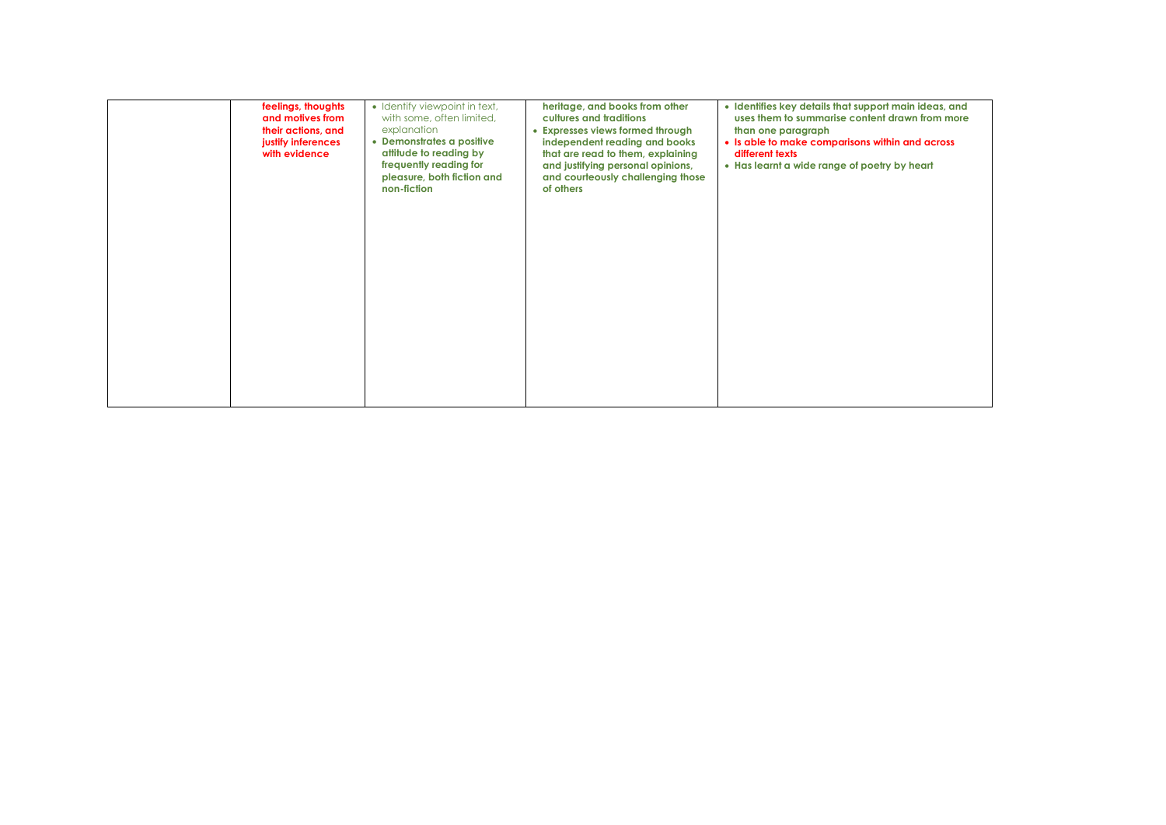| feelings, thoughts<br>and motives from<br>their actions, and<br>justify inferences<br>with evidence | • Identify viewpoint in text,<br>with some, often limited,<br>explanation<br>• Demonstrates a positive<br>attitude to reading by<br>frequently reading for<br>pleasure, both fiction and<br>non-fiction | heritage, and books from other<br>cultures and traditions<br>• Expresses views formed through<br>independent reading and books<br>that are read to them, explaining<br>and justifying personal opinions,<br>and courteously challenging those<br>of others | · Identifies key details that support main ideas, and<br>uses them to summarise content drawn from more<br>than one paragraph<br>• Is able to make comparisons within and across<br>different texts<br>• Has learnt a wide range of poetry by heart |
|-----------------------------------------------------------------------------------------------------|---------------------------------------------------------------------------------------------------------------------------------------------------------------------------------------------------------|------------------------------------------------------------------------------------------------------------------------------------------------------------------------------------------------------------------------------------------------------------|-----------------------------------------------------------------------------------------------------------------------------------------------------------------------------------------------------------------------------------------------------|
|                                                                                                     |                                                                                                                                                                                                         |                                                                                                                                                                                                                                                            |                                                                                                                                                                                                                                                     |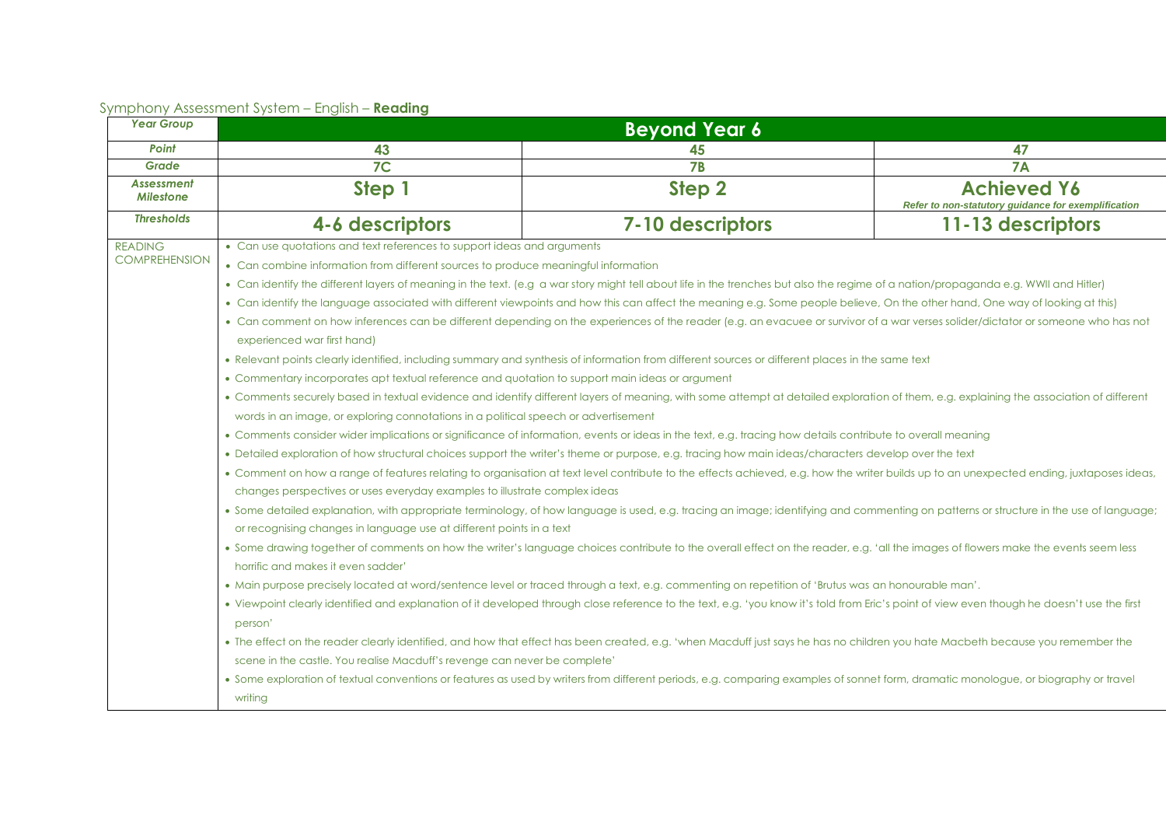| <b>Year Group</b>                      | <b>Beyond Year 6</b>                                                                                                                                                                                                                                                                                                                                                                                                                                                                                                                                                                                                                                                                                                                                                                                                                                                                                                                                                                                                                                                                                                                                                                                                                                                                                                                                                                                                                                                                                                                                                                                                                                                                                                                                                                                                                                                                                                                                                                                                                                                                                                                                                                                                                                                                                                                                                                                                                                                                                                                                                                                                                                                                                                                                                                                                                                                                                                                                                                                                                                                                                                                                  |                  |                                                                           |
|----------------------------------------|-------------------------------------------------------------------------------------------------------------------------------------------------------------------------------------------------------------------------------------------------------------------------------------------------------------------------------------------------------------------------------------------------------------------------------------------------------------------------------------------------------------------------------------------------------------------------------------------------------------------------------------------------------------------------------------------------------------------------------------------------------------------------------------------------------------------------------------------------------------------------------------------------------------------------------------------------------------------------------------------------------------------------------------------------------------------------------------------------------------------------------------------------------------------------------------------------------------------------------------------------------------------------------------------------------------------------------------------------------------------------------------------------------------------------------------------------------------------------------------------------------------------------------------------------------------------------------------------------------------------------------------------------------------------------------------------------------------------------------------------------------------------------------------------------------------------------------------------------------------------------------------------------------------------------------------------------------------------------------------------------------------------------------------------------------------------------------------------------------------------------------------------------------------------------------------------------------------------------------------------------------------------------------------------------------------------------------------------------------------------------------------------------------------------------------------------------------------------------------------------------------------------------------------------------------------------------------------------------------------------------------------------------------------------------------------------------------------------------------------------------------------------------------------------------------------------------------------------------------------------------------------------------------------------------------------------------------------------------------------------------------------------------------------------------------------------------------------------------------------------------------------------------------|------------------|---------------------------------------------------------------------------|
| Point                                  | 43                                                                                                                                                                                                                                                                                                                                                                                                                                                                                                                                                                                                                                                                                                                                                                                                                                                                                                                                                                                                                                                                                                                                                                                                                                                                                                                                                                                                                                                                                                                                                                                                                                                                                                                                                                                                                                                                                                                                                                                                                                                                                                                                                                                                                                                                                                                                                                                                                                                                                                                                                                                                                                                                                                                                                                                                                                                                                                                                                                                                                                                                                                                                                    | 45               | 47                                                                        |
| Grade                                  | 7 <sup>C</sup>                                                                                                                                                                                                                                                                                                                                                                                                                                                                                                                                                                                                                                                                                                                                                                                                                                                                                                                                                                                                                                                                                                                                                                                                                                                                                                                                                                                                                                                                                                                                                                                                                                                                                                                                                                                                                                                                                                                                                                                                                                                                                                                                                                                                                                                                                                                                                                                                                                                                                                                                                                                                                                                                                                                                                                                                                                                                                                                                                                                                                                                                                                                                        | 7B               | <b>7A</b>                                                                 |
| <b>Assessment</b><br><b>Milestone</b>  | Step 1                                                                                                                                                                                                                                                                                                                                                                                                                                                                                                                                                                                                                                                                                                                                                                                                                                                                                                                                                                                                                                                                                                                                                                                                                                                                                                                                                                                                                                                                                                                                                                                                                                                                                                                                                                                                                                                                                                                                                                                                                                                                                                                                                                                                                                                                                                                                                                                                                                                                                                                                                                                                                                                                                                                                                                                                                                                                                                                                                                                                                                                                                                                                                | Step 2           | <b>Achieved Y6</b><br>Refer to non-statutory guidance for exemplification |
| <b>Thresholds</b>                      | 4-6 descriptors                                                                                                                                                                                                                                                                                                                                                                                                                                                                                                                                                                                                                                                                                                                                                                                                                                                                                                                                                                                                                                                                                                                                                                                                                                                                                                                                                                                                                                                                                                                                                                                                                                                                                                                                                                                                                                                                                                                                                                                                                                                                                                                                                                                                                                                                                                                                                                                                                                                                                                                                                                                                                                                                                                                                                                                                                                                                                                                                                                                                                                                                                                                                       | 7-10 descriptors | 11-13 descriptors                                                         |
| <b>READING</b><br><b>COMPREHENSION</b> | • Can combine information from different sources to produce meaningful information<br>• Can identify the different layers of meaning in the text. (e.g a war story might tell about life in the trenches but also the regime of a nation/propaganda e.g. WWII and Hitler)<br>• Can identify the language associated with different viewpoints and how this can affect the meaning e.g. Some people believe, On the other hand, One way of looking at this)<br>• Can comment on how inferences can be different depending on the experiences of the reader (e.g. an evacuee or survivor of a war verses solider/dictator or someone who has not<br>experienced war first hand)<br>• Relevant points clearly identified, including summary and synthesis of information from different sources or different places in the same text<br>• Commentary incorporates apt textual reference and quotation to support main ideas or argument<br>• Comments securely based in textual evidence and identify different layers of meaning, with some attempt at detailed exploration of them, e.g. explaining the association of different<br>words in an image, or exploring connotations in a political speech or advertisement<br>• Comments consider wider implications or significance of information, events or ideas in the text, e.g. tracing how details contribute to overall meaning<br>• Detailed exploration of how structural choices support the writer's theme or purpose, e.g. tracing how main ideas/characters develop over the text<br>• Comment on how a range of features relating to organisation at text level contribute to the effects achieved, e.g. how the writer builds up to an unexpected ending, juxtaposes ideas,<br>changes perspectives or uses everyday examples to illustrate complex ideas<br>. Some detailed explanation, with appropriate terminology, of how language is used, e.g. tracing an image; identifying and commenting on patterns or structure in the use of language;<br>or recognising changes in language use at different points in a text<br>. Some drawing together of comments on how the writer's language choices contribute to the overall effect on the reader, e.g. 'all the images of flowers make the events seem less<br>horrific and makes it even sadder'<br>• Main purpose precisely located at word/sentence level or traced through a text, e.g. commenting on repetition of 'Brutus was an honourable man'.<br>. Viewpoint clearly identified and explanation of it developed through close reference to the text, e.g. 'you know it's told from Eric's point of view even though he doesn't use the first<br>person'<br>• The effect on the reader clearly identified, and how that effect has been created, e.g. 'when Macduff just says he has no children you hate Macbeth because you remember the<br>scene in the castle. You realise Macduff's revenge can never be complete'<br>· Some exploration of textual conventions or features as used by writers from different periods, e.g. comparing examples of sonnet form, dramatic monologue, or biography or travel<br>writing |                  |                                                                           |